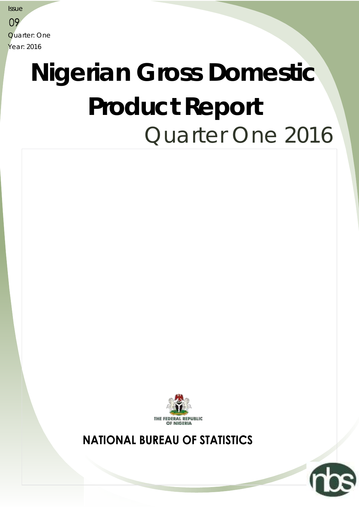**Issue** 09 Quarter: One Year: 2016

# Quarter One 2016 **Nigerian Gross Domestic Product Report**



**NATIONAL BUREAU OF STATISTICS**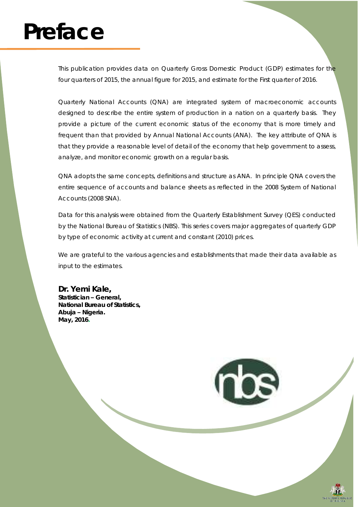## **Preface**

This publication provides data on Quarterly Gross Domestic Product (GDP) estimates for the four quarters of 2015, the annual figure for 2015, and estimate for the First quarter of 2016.

Quarterly National Accounts (QNA) are integrated system of macroeconomic accounts designed to describe the entire system of production in a nation on a quarterly basis. They provide a picture of the current economic status of the economy that is more timely and frequent than that provided by Annual National Accounts (ANA). The key attribute of QNA is that they provide a reasonable level of detail of the economy that help government to assess, analyze, and monitor economic growth on a regular basis.

QNA adopts the same concepts, definitions and structure as ANA. In principle QNA covers the entire sequence of accounts and balance sheets as reflected in the 2008 System of National Accounts (2008 SNA).

Data for this analysis were obtained from the Quarterly Establishment Survey (QES) conducted by the National Bureau of Statistics (NBS). This series covers major aggregates of quarterly GDP by type of economic activity at current and constant (2010) prices.

We are grateful to the various agencies and establishments that made their data available as input to the estimates.

**Dr. Yemi Kale, Statistician – General, National Bureau of Statistics, Abuja – Nigeria. May, 2016.**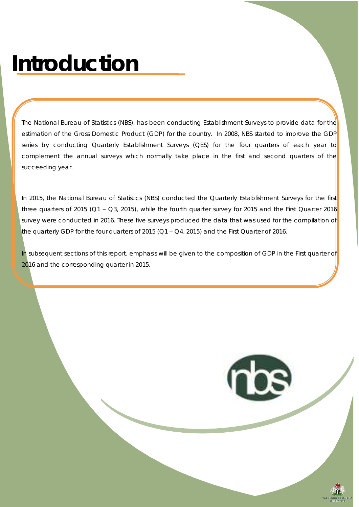## **Introduction**

The National Bureau of Statistics (NBS), has been conducting Establishment Surveys to provide data for the estimation of the Gross Domestic Product (GDP) for the country. In 2008, NBS started to improve the GDP series by conducting Quarterly Establishment Surveys (QES) for the four quarters of each year to complement the annual surveys which normally take place in the first and second quarters of the succeeding year.

In 2015, the National Bureau of Statistics (NBS) conducted the Quarterly Establishment Surveys for the first three quarters of 2015 ( $Q1 - Q3$ , 2015), while the fourth quarter survey for 2015 and the First Quarter 2016 survey were conducted in 2016. These five surveys produced the data that was used for the compilation of the quarterly GDP for the four quarters of 2015 ( $Q1 - Q4$ , 2015) and the First Quarter of 2016.

In subsequent sections of this report, emphasis will be given to the composition of GDP in the First quarter of 2016 and the corresponding quarter in 2015.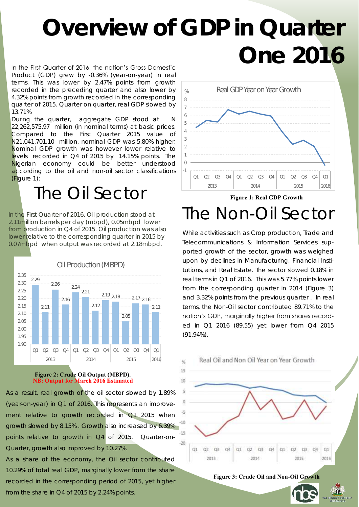## **Overview of GDP in Quarter One 2016**

In the First Quarter of 2016, the nation's Gross Domestic Product (GDP) grew by -0.36% (year-on-year) in real terms. This was lower by 2.47% points from growth recorded in the preceding quarter and also lower by 4.32% points from growth recorded in the corresponding quarter of 2015. Quarter on quarter, real GDP slowed by 13.71%

During the quarter, aggregate GDP stood at N 22,262,575.97 million (in nominal terms) at basic prices. Compared to the First Quarter 2015 value of N21,041,701.10 million, nominal GDP was 5.80% higher. Nominal GDP growth was however lower relative to levels recorded in Q4 of 2015 by 14.15% points. The Nigerian economy could be better understood according to the oil and non-oil sector classifications (Figure 1):

### The Oil Sector

In the First Quarter of 2016, Oil production stood at 2.11million barrels per day (mbpd), 0.05mbpd lower from production in Q4 of 2015. Oil production was also lower relative to the corresponding quarter in 2015 by 0.07mbpd when output was recorded at 2.18mbpd.



#### **Figure 2: Crude Oil Output (MBPD). NB: Output for March 2016 Estimated**

As a result, real growth of the oil sector slowed by 1.89% (year-on-year) in Q1 of 2016. This represents an improvement relative to growth recorded in Q1 2015 when growth slowed by 8.15% . Growth also increased by 6.39% points relative to growth in Q4 of 2015. Quarter-on-Quarter, growth also improved by 10.27%.

As a share of the economy, the Oil sector contributed 10.29% of total real GDP, marginally lower from the share recorded in the corresponding period of 2015, yet higher from the share in Q4 of 2015 by 2.24% points.



### The Non-Oil Sector

While activities such as Crop production, Trade and Telecommunications & Information Services supported growth of the sector, growth was weighed upon by declines in Manufacturing, Financial Institutions, and Real Estate. The sector slowed 0.18% in real terms in Q1 of 2016. This was 5.77% points lower from the corresponding quarter in 2014 (Figure 3) and 3.32% points from the previous quarter . In real terms, the Non-Oil sector contributed 89.71% to the nation's GDP, marginally higher from shares recorded in Q1 2016 (89.55) yet lower from Q4 2015 (91.94%).





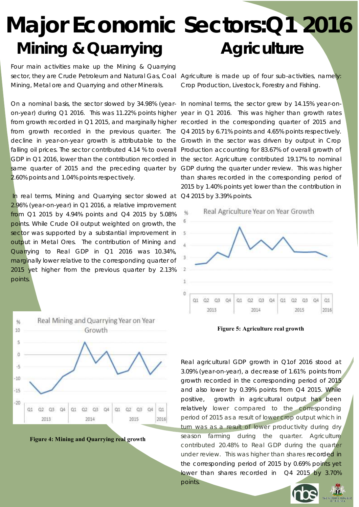### **Mining & Quarrying Major Economic Sectors:Q1 2016 Agriculture**

Four main activities make up the Mining & Quarrying sector, they are Crude Petroleum and Natural Gas, Coal Agriculture is made up of four sub-activities, namely: Mining, Metal ore and Quarrying and other Minerals.

On a nominal basis, the sector slowed by 34.98% (year-In nominal terms, the sector grew by 14.15% year-onon-year) during Q1 2016. This was 11.22% points higher year in Q1 2016. This was higher than growth rates from growth recorded in Q1 2015, and marginally higher recorded in the corresponding quarter of 2015 and from growth recorded in the previous quarter. The Q4 2015 by 6.71% points and 4.65% points respectively. decline in year-on-year growth is attributable to the Growth in the sector was driven by output in Crop falling oil prices. The sector contributed 4.14 % to overall Production accounting for 83.67% of overall growth of GDP in Q1 2016, lower than the contribution recorded in the sector. Agriculture contributed 19.17% to nominal same quarter of 2015 and the preceding quarter by GDP during the quarter under review. This was higher 2.60% points and 1.04% points respectively.

In real terms, Mining and Quarrying sector slowed at 2.96% (year-on-year) in Q1 2016, a relative improvement from Q1 2015 by 4.94% points and Q4 2015 by 5.08% points. While Crude Oil output weighted on growth, the sector was supported by a substantial improvement in output in Metal Ores. The contribution of Mining and Quarrying to Real GDP in Q1 2016 was 10.34%, marginally lower relative to the corresponding quarter of 2015 yet higher from the previous quarter by 2.13% points.





Crop Production, Livestock, Forestry and Fishing.

than shares recorded in the corresponding period of 2015 by 1.40% points yet lower than the contribution in Q4 2015 by 3.39% points.



**Figure 5: Agriculture real growth**

Real agricultural GDP growth in Q1of 2016 stood at 3.09% (year-on-year), a decrease of 1.61% points from growth recorded in the corresponding period of 2015 and also lower by 0.39% points from Q4 2015. While positive, growth in agricultural output has been relatively lower compared to the corresponding period of 2015 as a result of lower crop output which in turn was as a result of lower productivity during dry season farming during the quarter. Agriculture contributed 20.48% to Real GDP during the quarter under review. This was higher than shares recorded in the corresponding period of 2015 by 0.69% points yet lower than shares recorded in Q4 2015 by 3.70% points.



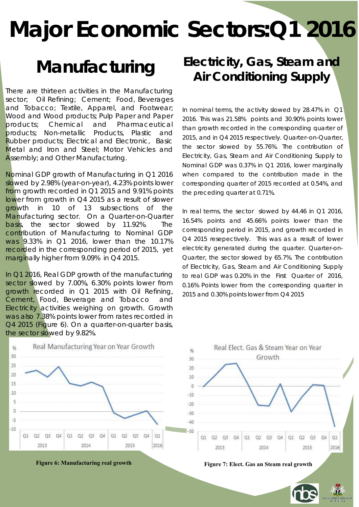There are thirteen activities in the Manufacturing sector; Oil Refining; Cement; Food, Beverages and Tobacco; Textile, Apparel, and Footwear; Wood and Wood products; Pulp Paper and Paper products; Chemical and Pharmaceutical products; Non-metallic Products, Plastic and Rubber products; Electrical and Electronic, Basic Metal and Iron and Steel; Motor Vehicles and Assembly; and Other Manufacturing.

Nominal GDP growth of Manufacturing in Q1 2016 slowed by 2.98% (year-on-year), 4.23% points lower from growth recorded in Q1 2015 and 9.91% points lower from growth in Q4 2015 as a result of slower growth in 10 of 13 subsections of the Manufacturing sector. On a Quarter-on-Quarter basis, the sector slowed by 11.92%. The contribution of Manufacturing to Nominal GDP was 9.33% in Q1 2016, lower than the 10.17% recorded in the corresponding period of 2015, yet marginally higher from 9.09% in Q4 2015.

In Q1 2016, Real GDP growth of the manufacturing sector slowed by 7.00%, 6.30% points lower from growth recorded in Q1 2015 with Oil Refining, Cement, Food, Beverage and Tobacco and Electricity activities weighing on growth. Growth was also 7.38% points lower from rates recorded in Q4 2015 (Figure 6). On a quarter-on-quarter basis, the sector slowed by 9.82%.



### **Manufacturing Electricity, Gas, Steam and Air Conditioning Supply**

In nominal terms, the activity slowed by 28.47% in Q1 2016. This was 21.58% points and 30.90% points lower than growth recorded in the corresponding quarter of 2015, and in Q4 2015 respectively. Quarter–on-Quarter, the sector slowed by 55.76%. The contribution of Electricity, Gas, Steam and Air Conditioning Supply to Nominal GDP was 0.37% in Q1 2016, lower marginally when compared to the contribution made in the corresponding quarter of 2015 recorded at 0.54%, and the preceding quarter at 0.71%.

In real terms, the sector slowed by 44.46 in Q1 2016, 16.54% points and 45.66% points lower than the corresponding period in 2015, and growth recorded in Q4 2015 resepectively. This was as a result of lower electricity generated during the quarter. Quarter-on-Quarter, the sector slowed by 65.7%. The contribution of Electricity, Gas, Steam and Air Conditioning Supply to real GDP was 0.20% in the First Quarter of 2016, 0.16% Points lower from the corresponding quarter in 2015 and 0.30% points lower from Q4 2015

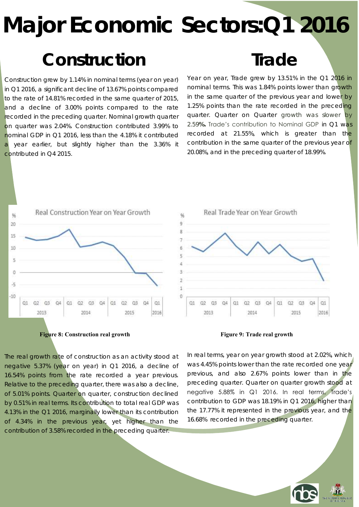### **Construction**

Construction grew by 1.14% in nominal terms (year on year) in Q1 2016, a significant decline of 13.67% points compared to the rate of 14.81% recorded in the same quarter of 2015, and a decline of 3.00% points compared to the rate recorded in the preceding quarter. Nominal growth quarter on quarter was 2.04%. Construction contributed 3.99% to nominal GDP in Q1 2016, less than the 4.18% it contributed year earlier, but slightly higher than the 3.36% it contributed in Q4 2015.

### **Trade**

Year on year, Trade grew by 13.51% in the Q1 2016 in nominal terms. This was 1.84% points lower than growth in the same quarter of the previous year and lower by 1.25% points than the rate recorded in the preceding quarter. Quarter on Quarter growth was slower by 2.59**%.** Trade's contribution to Nominal GDP in Q1 was recorded at 21.55%, which is greater than the contribution in the same quarter of the previous year of 20.08%, and in the preceding quarter of 18.99%.





The real growth rate of construction as an activity stood at negative 5.37% (year on year) in Q1 2016, a decline of 16.54% points from the rate recorded a year previous. Relative to the preceding quarter, there was also a decline, of 5.01% points. Quarter on quarter, construction declined by 0.51% in real terms. Its contribution to total real GDP was 4.13% in the Q1 2016, marginally lower than its contribution of 4.34% in the previous year, yet higher than the contribution of 3.58% recorded in the preceding quarter.



In real terms, year on year growth stood at 2.02%, which was 4.45% points lower than the rate recorded one year previous, and also 2.67% points lower than in the preceding quarter. Quarter on quarter growth stood at negative 5.88% in Q1 2016. In real terms, Trade's contribution to GDP was 18.19% in Q1 2016, higher than the 17.77% it represented in the previous year, and the 16.68% recorded in the preceding quarter.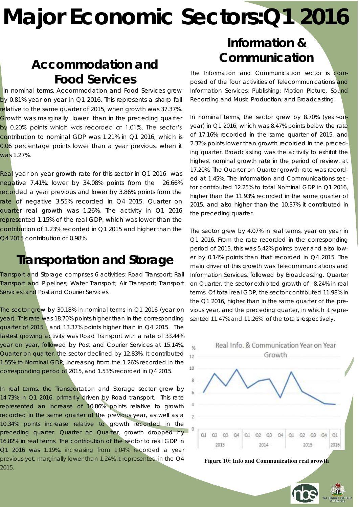### **Communication Accommodation and Food Services**

In nominal terms, Accommodation and Food Services grew by 0.81% year on year in Q1 2016. This represents a sharp fall relative to the same quarter of 2015, when growth was 37.37%. Growth was marginally lower than in the preceding quarter by 0.20% points which was recorded at 1.01%. The sector's contribution to nominal GDP was 1.21% in Q1 2016, which is 0.06 percentage points lower than a year previous, when it was 1.27%.

Real year on year growth rate for this sector in Q1 2016 was negative 7.41%, lower by 34.08% points from the 26.66% recorded a year previous and lower by 3.86% points from the rate of negative 3.55% recorded in Q4 2015. Quarter on quarter real growth was 1.26%. The activity in Q1 2016 represented 1.15% of the real GDP, which was lower than the contribution of 1.23% recorded in Q1 2015 and higher than the Q4 2015 contribution of 0.98%.

### **Transportation and Storage**

Transport and Storage comprises 6 activities; Road Transport; Rail Transport and Pipelines; Water Transport; Air Transport; Transport Services; and Post and Courier Services.

The sector grew by 30.18% in nominal terms in Q1 2016 (year on year). This rate was 18.70% points higher than in the corresponding quarter of 2015, and 13.37% points higher than in Q4 2015. The fastest growing activity was Road Transport with a rate of 33.44% year on year, followed by Post and Courier Services at 15.14%. Quarter on quarter, the sector declined by 12.83%. It contributed 1.55% to Nominal GDP, increasing from the 1.26% recorded in the corresponding period of 2015, and 1.53% recorded in Q4 2015.

In real terms, the Transportation and Storage sector grew by 14.73% in Q1 2016, primarily driven by Road transport. This rate represented an increase of 10.86% points relative to growth recorded in the same quarter of the previous year, as well as a 10.34% points increase relative to growth recorded in the preceding quarter. Quarter on Quarter, growth dropped by 16.82% in real terms. The contribution of the sector to real GDP in Q1 2016 was 1.19%, increasing from 1.04% recorded a year previous yet, marginally lower than 1.24% it represented in the Q4 2015.

# **Information &**

The Information and Communication sector is composed of the four activities of Telecommunications and Information Services; Publishing; Motion Picture, Sound Recording and Music Production; and Broadcasting.

In nominal terms, the sector grew by 8.70% (year-onyear) in Q1 2016, which was 8.47% points below the rate of 17.16% recorded in the same quarter of 2015, and 2.32% points lower than growth recorded in the preceding quarter. Broadcasting was the activity to exhibit the highest nominal growth rate in the period of review, at 17.20%. The Quarter on Quarter growth rate was recorded at 1.45%. The Information and Communications sector contributed 12.25% to total Nominal GDP in Q1 2016, higher than the 11.93% recorded in the same quarter of 2015, and also higher than the 10.37% it contributed in the preceding quarter.

The sector grew by 4.07% in real terms, year on year in Q1 2016. From the rate recorded in the corresponding period of 2015, this was 5.42% points lower and also lower by 0.14% points than that recorded in Q4 2015. The main driver of this growth was Telecommunications and Information Services, followed by Broadcasting. Quarter on Quarter, the sector exhibited growth of –8.24% in real terms. Of total real GDP, the sector contributed 11.98% in the Q1 2016, higher than in the same quarter of the previous year, and the preceding quarter, in which it represented 11.47% and 11.26% of the totals respectively.





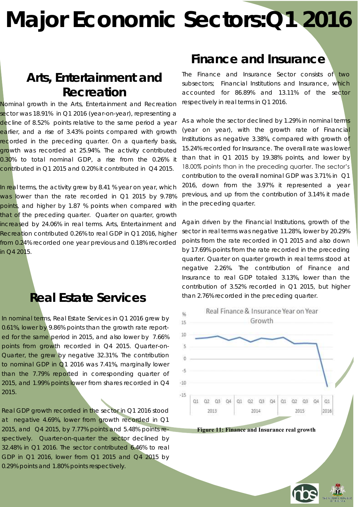### **Arts, Entertainment and Recreation**

Nominal growth in the Arts, Entertainment and Recreation sector was 18.91% in Q1 2016 (year-on-year), representing a decline of 8.52% points relative to the same period a year earlier, and a rise of 3.43% points compared with growth recorded in the preceding quarter. On a quarterly basis, growth was recorded at 25.94%. The activity contributed 0.30% to total nominal GDP, a rise from the 0.26% it contributed in Q1 2015 and 0.20% it contributed in Q4 2015.

In real terms, the activity grew by 8.41 % year on year, which was lower than the rate recorded in Q1 2015 by 9.78% points, and higher by 1.87 % points when compared with that of the preceding quarter. Quarter on quarter, growth increased by 24.06% in real terms. Arts, Entertainment and Recreation contributed 0.26% to real GDP in Q1 2016, higher from 0.24% recorded one year previous and 0.18% recorded in Q4 2015.

### **Real Estate Services**

In nominal terms, Real Estate Services in Q1 2016 grew by 0.61%, lower by 9.86% points than the growth rate reported for the same period in 2015, and also lower by 7.66% points from growth recorded in Q4 2015. Quarter-on-Quarter, the grew by negative 32.31%. The contribution to nominal GDP in Q1 2016 was 7.41%, marginally lower than the 7.79% reported in corresponding quarter of 2015, and 1.99% points lower from shares recorded in Q4 2015.

Real GDP growth recorded in the sector in Q1 2016 stood at negative 4.69%, lower from growth recorded in Q1 2015, and Q4 2015, by 7.77% points and 5.48% points respectively. Quarter-on-quarter the sector declined by 32.48% in Q1 2016. The sector contributed 6.46% to real GDP in Q1 2016, lower from Q1 2015 and Q4 2015 by 0.29% points and 1.80% points respectively.

### **Finance and Insurance**

The Finance and Insurance Sector consists of two subsectors; Financial Institutions and Insurance, which accounted for 86.89% and 13.11% of the sector respectively in real terms in Q1 2016.

As a whole the sector declined by 1.29% in nominal terms (year on year), with the growth rate of Financial Institutions as negative 3.38%, compared with growth of 15.24% recorded for Insurance. The overall rate was lower than that in Q1 2015 by 19.38% points, and lower by 18.00% points than in the preceding quarter. The sector's contribution to the overall nominal GDP was 3.71% in Q1 2016, down from the 3.97% it represented a year previous, and up from the contribution of 3.14% it made in the preceding quarter.

Again driven by the Financial Institutions, growth of the sector in real terms was negative 11.28%, lower by 20.29% points from the rate recorded in Q1 2015 and also down by 17.69% points from the rate recorded in the preceding quarter. Quarter on quarter growth in real terms stood at negative 2.26%. The contribution of Finance and Insurance to real GDP totaled 3.13%, lower than the contribution of 3.52% recorded in Q1 2015, but higher than 2.76% recorded in the preceding quarter.



**Figure 11: Finance and Insurance real growth**



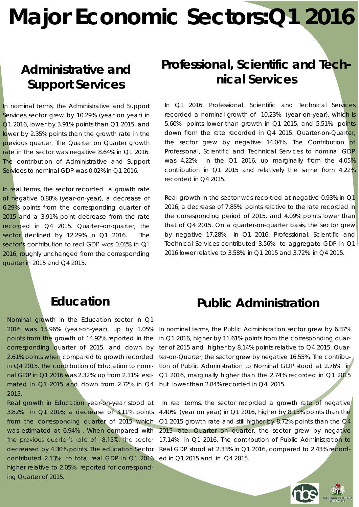### **Administrative and Support Services**

In nominal terms, the Administrative and Support Services sector grew by 10.29% (year on year) in Q1 2016, lower by 3.91% points than Q1 2015, and lower by 2.35% points than the growth rate in the previous quarter. The Quarter on Quarter growth rate in the sector was negative 8.64% in Q1 2016. The contribution of Administrative and Support Services to nominal GDP was 0.02% in Q1 2016.

In real terms, the sector recorded a growth rate of negative 0.88% (year-on-year), a decrease of 6.29% points from the corresponding quarter of 2015 and a 3.91% point decrease from the rate recorded in Q4 2015. Quarter–on-quarter, the sector declined by 12.29% in Q1 2016. The sector's contribution to real GDP was 0.02% in Q1 2016, roughly unchanged from the corresponding quarter in 2015 and Q4 2015.

### **Professional, Scientific and Technical Services**

In Q1 2016, Professional, Scientific and Technical Services recorded a nominal growth of 10.23% (year-on-year), which is 5.60% points lower than growth in Q1 2015, and 5.51% points down from the rate recorded in Q4 2015. Quarter-on-Quarter, the sector grew by negative 14.04%. The Contribution of Professional, Scientific and Technical Services to nominal GDP was 4.22% in the Q1 2016, up marginally from the 4.05% contribution in Q1 2015 and relatively the same from 4.22% recorded in Q4 2015.

Real growth in the sector was recorded at negative 0.93% in Q1 2016, a decrease of 7.85% points relative to the rate recorded in the corresponding period of 2015, and 4.09% points lower than that of Q4 2015. On a quarter-on-quarter basis, the sector grew by negative 17.28% in Q1 2016. Professional, Scientific and Technical Services contributed 3.56% to aggregate GDP in Q1 2016 lower relative to 3.58% in Q1 2015 and 3.72% in Q4 2015.

### **Education**

Nominal growth in the Education sector in Q1 2016 was 15.96% (year-on-year), up by 1.05% points from the growth of 14.92% reported in the corresponding quarter of 2015, and down by 2.61% points when compared to growth recorded in Q4 2015. The contribution of Education to nominal GDP in Q1 2016 was 2.32%; up from 2.11% estimated in Q1 2015 and down from 2.72% in Q4 2015.

Real growth in Education year-on-year stood at 3.82% in Q1 2016; a decrease of 3.11% points from the corresponding quarter of 2015 which was estimated at 6.94% . When compared with the previous quarter's rate of 8.13%, the sector decreased by 4.30% points. The education Sector contributed 2.13% to total real GDP in Q1 2016 higher relative to 2.05% reported for corresponding Quarter of 2015.

### **Public Administration**

In nominal terms, the Public Administration sector grew by 6.37% in Q1 2016, higher by 11.61% points from the corresponding quarter of 2015 and higher by 8.14% points relative to Q4 2015. Quarter-on-Quarter, the sector grew by negative 16.55%. The contribution of Public Administration to Nominal GDP stood at 2.76% in Q1 2016, marginally higher than the 2.74% recorded in Q1 2015 but lower than 2.84% recorded in Q4 2015.

In real terms, the sector recorded a growth rate of negative 4.40% (year on year) in Q1 2016, higher by 8.13% points than the Q1 2015 growth rate and still higher by 8.72% points than the Q4 2015 rate. Quarter on quarter, the sector grew by negative 17.14% in Q1 2016. The contribution of Public Administration to Real GDP stood at 2.33% in Q1 2016, compared to 2.43% recorded in Q1 2015 and in Q4 2015.

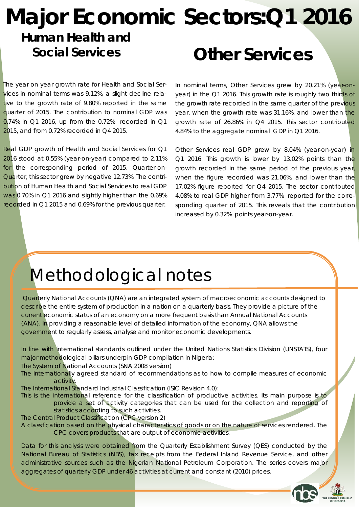### **Major Economic Sectors:Q1 2016 Other Services Human Health and Social Services**

The year on year growth rate for Health and Social Services in nominal terms was 9.12%, a slight decline relative to the growth rate of 9.80% reported in the same quarter of 2015. The contribution to nominal GDP was 0.74% in Q1 2016, up from the 0.72% recorded in Q1 2015, and from 0.72% recorded in Q4 2015.

Real GDP growth of Health and Social Services for Q1 2016 stood at 0.55% (year-on-year) compared to 2.11% for the corresponding period of 2015. Quarter-on-Quarter, this sector grew by negative 12.73%. The contribution of Human Health and Social Services to real GDP was 0.70% in Q1 2016 and slightly higher than the 0.69% recorded in Q1 2015 and 0.69% for the previous quarter.

In nominal terms, Other Services grew by 20.21% (year-onyear) in the Q1 2016. This growth rate is roughly two thirds of the growth rate recorded in the same quarter of the previous year, when the growth rate was 31.16%, and lower than the growth rate of 26.86% in Q4 2015. This sector contributed 4.84% to the aggregate nominal GDP in Q1 2016.

Other Services real GDP grew by 8.04% (year-on-year) in Q1 2016. This growth is lower by 13.02% points than the growth recorded in the same period of the previous year, when the figure recorded was 21.06%, and lower than the 17.02% figure reported for Q4 2015. The sector contributed 4.08% to real GDP higher from 3.77% reported for the corresponding quarter of 2015. This reveals that the contribution increased by 0.32% points year-on-year.

### Methodological notes

Quarterly National Accounts (QNA) are an integrated system of macroeconomic accounts designed to describe the entire system of production in a nation on a quarterly basis. They provide a picture of the current economic status of an economy on a more frequent basis than Annual National Accounts (ANA). In providing a reasonable level of detailed information of the economy, QNA allows the government to regularly assess, analyse and monitor economic developments.

In line with international standards outlined under the United Nations Statistics Division (UNSTATS), four major methodological pillars underpin GDP compilation in Nigeria:

The System of National Accounts (SNA 2008 version)

The internationally agreed standard of recommendations as to how to compile measures of economic activity.

The International Standard Industrial Classification (ISIC Revision 4.0):

This is the international reference for the classification of productive activities. Its main purpose is to provide a set of activity categories that can be used for the collection and reporting of statistics according to such activities.

The Central Product Classification (CPC version 2)

.

A classification based on the physical characteristics of goods or on the nature of services rendered. The CPC covers products that are output of economic activities.

Data for this analysis were obtained from the Quarterly Establishment Survey (QES) conducted by the National Bureau of Statistics (NBS), tax receipts from the Federal Inland Revenue Service, and other administrative sources such as the Nigerian National Petroleum Corporation. The series covers major aggregates of quarterly GDP under 46 activities at current and constant (2010) prices.

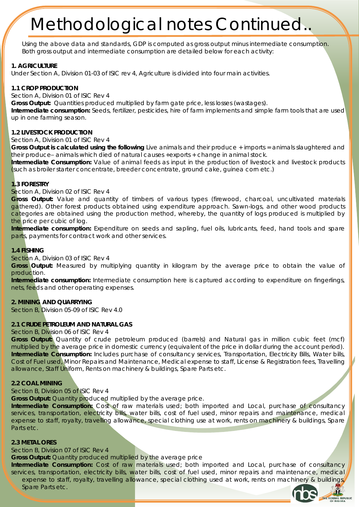Using the above data and standards, GDP is computed as gross output minus intermediate consumption. Both gross output and intermediate consumption are detailed below for each activity:

#### **1. AGRICULTURE**

Under Section A, Division 01-03 of ISIC rev 4, Agriculture is divided into four main activities.

#### **1.1 CROP PRODUCTION**

Section A, Division 01 of ISIC Rev 4

**Gross Output:** Quantities produced multiplied by farm gate price, less losses (wastages).

**Intermediate consumption:** Seeds, fertilizer, pesticides, hire of farm implements and simple farm tools that are used up in one farming season.

#### **1.2 LIVESTOCK PRODUCTION**

Section A, Division 01 of ISIC Rev 4

**Gross Output is calculated using the following** Live animals and their produce + imports = animals slaughtered and their produce– animals which died of natural causes +exports + change in animal stock.

**Intermediate Consumption:** Value of animal feeds as input in the production of livestock and livestock products (such as broiler starter concentrate, breeder concentrate, ground cake, guinea corn etc.)

#### **1.3 FORESTRY**

#### Section A, Division 02 of ISIC Rev 4

**Gross Output:** Value and quantity of timbers of various types (firewood, charcoal, uncultivated materials gathered). Other forest products obtained using expenditure approach. Sawn-logs, and other wood products categories are obtained using the production method, whereby, the quantity of logs produced is multiplied by the price per cubic of log.

**Intermediate consumption:** Expenditure on seeds and sapling, fuel oils, lubricants, feed, hand tools and spare parts, payments for contract work and other services.

#### **1.4 FISHING**

Section A, Division 03 of ISIC Rev 4

**Gross Output:** Measured by multiplying quantity in kilogram by the average price to obtain the value of production.

**Intermediate consumption:** Intermediate consumption here is captured according to expenditure on fingerlings, nets, feeds and other operating expenses.

**2. MINING AND QUARRYING** 

Section B, Division 05-09 of ISIC Rev 4.0

#### **2.1 CRUDE PETROLEUM AND NATURAL GAS**

#### Section B, Division 06 of ISIC Rev 4

**Gross Output:** Quantity of crude petroleum produced (barrels) and Natural gas in million cubic feet (mcf) multiplied by the average price in domestic currency (equivalent of the price in dollar during the account period). **Intermediate Consumption:** Includes purchase of consultancy services, Transportation, Electricity Bills, Water bills, Cost of Fuel used, Minor Repairs and Maintenance, Medical expense to staff, License & Registration fees, Travelling allowance, Staff Uniform, Rents on machinery & buildings, Spare Parts etc.

#### **2.2 COAL MINING**

#### Section B, Division 05 of ISIC Rev 4

**Gross Output:** Quantity produced multiplied by the average price.

**Intermediate Consumption:** Cost of raw materials used; both imported and Local, purchase of consultancy services, transportation, electricity bills, water bills, cost of fuel used, minor repairs and maintenance, medical expense to staff, royalty, travelling allowance, special clothing use at work, rents on machinery & buildings, Spare Parts etc.

#### **2.3 METAL ORES**

Section B, Division 07 of ISIC Rev 4

**Gross Output:** Quantity produced multiplied by the average price

**Intermediate Consumption:** Cost of raw materials used; both imported and Local, purchase of consultancy services, transportation, electricity bills, water bills, cost of fuel used, minor repairs and maintenance, medical expense to staff, royalty, travelling allowance, special clothing used at work, rents on machinery & buildings Spare Parts etc.

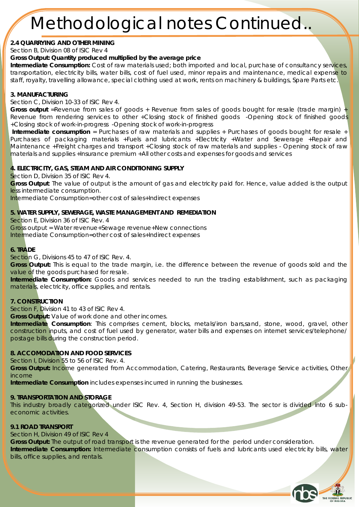**2.4 QUARRYING AND OTHER MINING** 

Section B, Division 08 of ISIC Rev 4

**Gross Output: Quantity produced multiplied by the average price**

**Intermediate Consumption:** Cost of raw materials used; both imported and local, purchase of consultancy services, transportation, electricity bills, water bills, cost of fuel used, minor repairs and maintenance, medical expense to staff, royalty, travelling allowance, special clothing used at work, rents on machinery & buildings, Spare Parts etc.

#### **3. MANUFACTURING**

Section C, Division 10-33 of ISIC Rev 4.

**Gross output** =Revenue from sales of goods + Revenue from sales of goods bought for resale (trade margin) + Revenue from rendering services to other +Closing stock of finished goods -Opening stock of finished goods +Closing stock of work-in-progress -Opening stock of work-in-progress

**Intermediate consumption** = Purchases of raw materials and supplies + Purchases of goods bought for resale + Purchases of packaging materials +Fuels and lubricants +Electricity +Water and Sewerage +Repair and Maintenance +Freight charges and transport +Closing stock of raw materials and supplies - Opening stock of raw materials and supplies +Insurance premium +All other costs and expenses for goods and services

**4. ELECTRICITY, GAS, STEAM AND AIR CONDITIONING SUPPLY**

Section D, Division 35 of ISIC Rev 4.

**Gross Output**: The value of output is the amount of gas and electricity paid for. Hence, value added is the output less intermediate consumption.

Intermediate Consumption=other cost of sales+Indirect expenses

**5. WATER SUPPLY, SEWERAGE, WASTE MANAGEMENT AND REMEDIATION** 

Section E, Division 36 of ISIC Rev. 4

Gross output = Water revenue+Sewage revenue+New connections

Intermediate Consumption=other cost of sales+Indirect expenses

#### **6. TRADE**

Section G, Divisions 45 to 47 of ISIC Rev. 4.

**Gross Output:** This is equal to the trade margin, i.e. the difference between the revenue of goods sold and the value of the goods purchased for resale.

**Intermediate Consumption:** Goods and services needed to run the trading establishment, such as packaging materials, electricity, office supplies, and rentals.

#### **7. CONSTRUCTION**

Section F, Division 41 to 43 of ISIC Rev 4.

**Gross Output:** Value of work done and other incomes.

**Intermediate Consumption**: This comprises cement, blocks, metals/iron bars,sand, stone, wood, gravel, other construction inputs, and cost of fuel used by generator, water bills and expenses on internet services/telephone/ postage bills during the construction period.

#### **8. ACCOMODATION AND FOOD SERVICES**

Section I, Division 55 to 56 of ISIC Rev. 4.

**Gross Output:** Income generated from Accommodation, Catering, Restaurants, Beverage Service activities, Other income

**Intermediate Consumption** includes expenses incurred in running the businesses.

#### **9. TRANSPORTATION AND STORAGE**

This industry broadly categorized under ISIC Rev. 4, Section H, division 49-53. The sector is divided into 6 subeconomic activities.

#### **9.1 ROAD TRANSPORT**

Section H, Division 49 of ISIC Rev 4

**Gross Output:** The output of road transport is the revenue generated for the period under consideration. **Intermediate Consumption:** Intermediate consumption consists of fuels and lubricants used electricity bills, water bills, office supplies, and rentals.

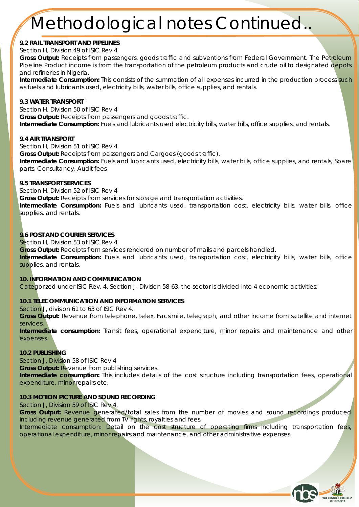**9.2 RAIL TRANSPORT AND PIPELINES** Section H, Division 49 of ISIC Rev 4

**Gross Output:** Receipts from passengers, goods traffic and subventions from Federal Government. The Petroleum Pipeline Product income is from the transportation of the petroleum products and crude oil to designated depots and refineries in Nigeria.

**Intermediate Consumption:** This consists of the summation of all expenses incurred in the production process such as fuels and lubricants used, electricity bills, water bills, office supplies, and rentals.

**9.3 WATER TRANSPORT**  Section H, Division 50 of ISIC Rev 4 **Gross Output:** Receipts from passengers and goods traffic. **Intermediate Consumption:** Fuels and lubricants used electricity bills, water bills, office supplies, and rentals.

**9.4 AIR TRANSPORT** Section H, Division 51 of ISIC Rev 4 **Gross Output:** Receipts from passengers and Cargoes (goods traffic). **Intermediate Consumption:** Fuels and lubricants used, electricity bills, water bills, office supplies, and rentals, Spare parts, Consultancy, Audit fees

**9.5 TRANSPORT SERVICES** 

Section H, Division 52 of ISIC Rev 4

**Gross Output:** Receipts from services for storage and transportation activities.

**Intermediate Consumption:** Fuels and lubricants used, transportation cost, electricity bills, water bills, office supplies, and rentals.

**9.6 POST AND COURIER SERVICES** 

Section H, Division 53 of ISIC Rev 4

**Gross Output:** Receipts from services rendered on number of mails and parcels handled.

**Intermediate Consumption:** Fuels and lubricants used, transportation cost, electricity bills, water bills, office supplies, and rentals.

**10. INFORMATION AND COMMUNICATION**  Categorized under ISIC Rev. 4, Section J, Division 58-63, the sector is divided into 4 economic activities:

**10.1 TELECOMMUNICATION AND INFORMATION SERVICES** 

Section J, division 61 to 63 of ISIC Rev 4.

**Gross Output:** Revenue from telephone, telex, Facsimile, telegraph, and other income from satellite and internet services.

**Intermediate consumption:** Transit fees, operational expenditure, minor repairs and maintenance and other expenses.

**10.2 PUBLISHING** 

Section J, Division 58 of ISIC Rev 4

**Gross Output:** Revenue from publishing services.

**Intermediate consumption:** This includes details of the cost structure including transportation fees, operational expenditure, minor repairs etc.

#### **10.3 MOTION PICTURE AND SOUND RECORDING**

Section J, Division 59 of ISIC Rev 4.

**Gross Output:** Revenue generated/total sales from the number of movies and sound recordings produced including revenue generated from TV rights, royalties and fees.

Intermediate consumption: Detail on the cost structure of operating firms including transportation fees, operational expenditure, minor repairs and maintenance, and other administrative expenses.

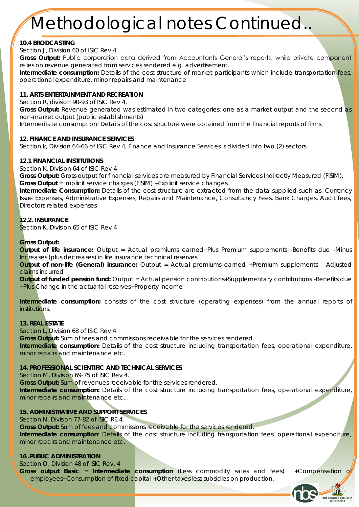#### **10.4 BRODCASTING**

Section J, Division 60 of ISIC Rev 4

**Gross Output:** Public corporation data derived from Accountants General's reports, while private component relies on revenue generated from services rendered e.g. advertisement.

**Intermediate consumption:** Details of the cost structure of market participants which include transportation fees, operational expenditure, minor repairs and maintenance

#### **11. ARTS ENTERTAINMENT AND RECREATION**

Section R, division 90-93 of ISIC Rev 4.

**Gross Output:** Revenue generated was estimated in two categories: one as a market output and the second as non-market output (public establishments)

Intermediate consumption: Details of the cost structure were obtained from the financial reports of firms.

**12. FINANCE AND INSURANCE SERVICES** 

Section k, Division 64-66 of ISIC Rev 4, Finance and Insurance Services is divided into two (2) sectors.

#### **12.1 FINANCIAL INSTITUTIONS**

Section K, Division 64 of ISIC Rev 4

**Gross Output:** Gross output for financial services are measured by Financial Services Indirectly Measured (FISIM). **Gross Output** = Implicit service charges (FISIM) +Explicit service changes.

**Intermediate Consumption:** Details of the cost structure are extracted from the data supplied such as; Currency Issue Expenses, Administrative Expenses, Repairs and Maintenance, Consultancy Fees, Bank Charges, Audit fees, Directors related expenses

### **12.2. INSURANCE**

Section K, Division 65 of ISIC Rev 4

#### **Gross Output:**

**Output of life insurance:** Output = Actual premiums earned+Plus Premium supplements -Benefits due -Minus Increases (plus decreases) in life insurance technical reserves

**Output of non-life (General) insurance:** Output = Actual premiums earned +Premium supplements - Adjusted claims incurred

**Output of funded pension fund:** Output = Actual pension contributions+Supplementary contributions -Benefits due +Plus Change in the actuarial reserves+Property income

**Intermediate consumption:** consists of the cost structure (operating expenses) from the annual reports of institutions.

#### **13. REAL ESTATE**

Section L, Division 68 of ISIC Rev 4

**Gross Output:** Sum of fees and commissions receivable for the services rendered.

**Intermediate consumption:** Details of the cost structure including transportation fees, operational expenditure, minor repairs and maintenance etc.

**14. PROFESSIONAL SCIENTIFIC AND TECHNICAL SERVICES** 

Section M, Division 69-75 of ISIC Rev 4.

**Gross Output:** Sum of revenues receivable for the services rendered.

**Intermediate consumption:** Details of the cost structure including transportation fees, operational expenditure, minor repairs and maintenance etc.

#### **15. ADMINISTRATIVE AND SUPPORT SERVICES**

Section N, Division 77-82 of ISIC RE 4.

**Gross Output:** Sum of fees and commissions receivable for the services rendered.

**Intermediate consumption**: Details of the cost structure including transportation fees, operational expenditure, minor repairs and maintenance etc.

**16 .PUBLIC ADMINISTRATION**

Section O, Division 48 of ISIC Rev. 4 **Gross output Basic** = **Intermediate consumption** (Less commodity sales and fees) +Compensation of employees+Consumption of fixed capital +Other taxes less subsidies on production.

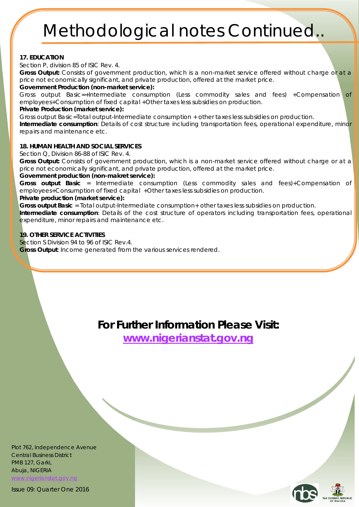#### **17. EDUCATION**

Section P, division 85 of ISIC Rev. 4.

**Gross Output:** Consists of government production, which is a non-market service offered without charge or at a price not economically significant, and private production, offered at the market price.

**Government Production (non-market service):**

Gross output Basic=+Intermediate consumption (Less commodity sales and fees) +Compensation of employees+Consumption of fixed capital +Other taxes less subsidies on production. **Private Production (market service):**

Gross output Basic=Total output-Intermediate consumption + other taxes less subsidies on production. **Intermediate consumption**: Details of cost structure including transportation fees, operational expenditure, minor

repairs and maintenance etc.

#### **18. HUMAN HEALTH AND SOCIAL SERVICES**

Section Q, Division 86-88 of ISIC Rev. 4.

**Gross Output:** Consists of government production, which is a non-market service offered without charge or at a price not economically significant, and private production, offered at the market price. **Government production (non-makret service):**

**Gross output Basic** = Intermediate consumption (Less commodity sales and fees)+Compensation of employees+Consumption of fixed capital +Other taxes less subsidies on production.

**Private production (market service):**

**Gross output Basic** = Total output-Intermediate consumption+ other taxes less subsidies on production. **Intermediate consumption**: Details of the cost structure of operators including transportation fees, operational

expenditure, minor repairs and maintenance etc.

**19. OTHER SERVICE ACTIVITIES** 

Section S Division 94 to 96 of ISIC Rev.4.

**Gross Output**: Income generated from the various services rendered.

**For Further Information Please Visit: [www.nigerianstat.gov.ng](nigerianstat.gov.ng)**

Plot 762, Independence Avenue Central Business District PMB 127, Garki, Abuja, NIGERIA higerianstat.gov.nc

Issue 09: Quarter One 2016

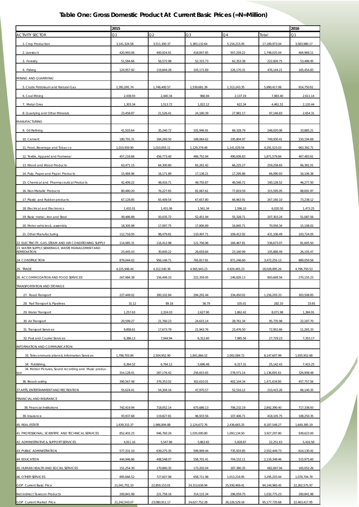#### *Table One: Gross Domestic Product At Current Basic Prices (=N=Million)*

|                                                                           | 2015          |                     |                     |                      | 2016          |               |
|---------------------------------------------------------------------------|---------------|---------------------|---------------------|----------------------|---------------|---------------|
| <b>ACTIVITY SECTOR</b>                                                    | Ο1            | $\mathfrak{D}2$     | Q3                  | Q <sub>4</sub>       | Total         | Q1            |
| 1. Crop Production                                                        | 3,141,324.58  | 3.511.300.37        | 5,383,132.64        | 5, 154, 215.45       | 17.189.973.04 | 3,583,980.17  |
| 2. Livestock                                                              | 420,993.06    | 400,924.91          | 418,847.85          | 507,259.22           | 1,748,025.04  | 464,969.11    |
| 3. Forestry                                                               | 51,584.66     | 56,572.98           | 52,315.73           | 62,353.38            | 222,826.75    | 53,486.95     |
| 4. Fishing                                                                | 124,957.92    | 119,844.28          | 105,171.69          | 126,170.31           | 476,144.21    | 165,454.83    |
| VIINING AND QUARRYING                                                     |               |                     |                     |                      |               |               |
| 5. Crude Petroleum and Natural Gas                                        | 1,391,091.74  | 1.746.400.57        | 1,539,681.39        | 1,313,243.35         | 5,990,417.06  | 914,750.61    |
| 6. Coal Mining                                                            | 2,438.93      | 2,440.34            | 966.94              | 2,137.19             | 7,983.40      | 2.611.14      |
| 7. Metal Ores                                                             | 1,303.34      | 1,513.72            | 1,022.12            | 622.34               | 4,461.52      | 2,120.44      |
| 8. Quarrying and Other Minerals                                           | 23,458.87     | 21,526.41           | 24,180.39           | 27,981.17            | 97,146.83     | 2,654.31      |
| VIANUFACTURING                                                            |               |                     |                     |                      |               |               |
| 9. Oil Refining                                                           |               |                     | 101,946.91          | 69,328.79            | 248,020.06    | 33,885.21     |
|                                                                           | 41,503.64     | 35,240.72           |                     |                      |               |               |
| 10. Cement                                                                | 180,791.31    | 184,269.50          | 189,064.62          | 195,804.97           | 749,930.41    | 150,194.69    |
| 11. Food, Beverage and Tobacco                                            | 1,010,459.90  | 1,010,655.11        | 1,129,378.48        | 1,141,029.54         | 4.291.523.03  | 963,392.71    |
| 12. Textile, Apparel and Footwear                                         | 457,216.66    | 456,773.40          | 466,752.94          | 490,836.83           | 1,871,579.84  | 467,483.61    |
| 13. Wood and Wood Products                                                | 63,471.15     | 64,300.80           | 65,261.42           | 66,225.27            | 259,258.65    | 66.381.01     |
| 14. Pulp, Paper and Paper Products                                        | 15,484.96     | 16,171.89           | 17,138.21           | 17,295.86            | 66,090.93     | 16.106.38     |
| 15. Chemical and Pharmaceutical Products                                  | 42,409.22     | 48,416.71           | 49,755.87           | 49,546.72            | 190,128.52    | 46,277.50     |
| 16. Non-Metallic Products                                                 | 80,480.20     | 76,227.65           | 81,067.61           | 77.819.59            | 315,595.05    | 88,691.97     |
| 17. Plastic and Rubber products                                           | 67,128.85     | 65,409.54           | 67,657.80           | 66,963.91            | 267,160.10    | 73,238.12     |
| 18. Electrical and Electronics                                            | 1,432.01      | 1,431.06            | 1,561.34            | 1,596.10             | 6,020.50      | 1,473.25      |
| 19. Basic metal, Iron and Steel                                           | 49,486.88     | 50,035.72           | 52,451.94           | 55,328.71            | 207,303.24    | 51,087.56     |
| 20. Motor vehicles & assembly                                             | 18,305.98     | 17,097.75           | 17,806.89           | 16,845.71            | 70,056.34     | 15,108.02     |
| 21. Other Manufacturing                                                   | 112,716.05    | 98,479.81           | 110,497.71          | 109,412.92           | 431,106.49    | 103,724.05    |
| 22. ELECTRICITY, GAS ,STEAM AND AIR CONDITIONING SUPPLY                   | 114,085.31    | 116,412.98          | 121,706.96          | 184,467.81           | 536,673.07    | 81,605.50     |
| 23. WATER SUPPLY, SEWERAGE, WASTE MANAGEMENT AND<br>REMEDIATION           | 23,445.43     | 30,600.22           | 28,659.84           | 23,160.99            | 105,866.49    | 26,105.47     |
| 24. CONSTRUCTION                                                          | 879,044.02    | 956,146.71          | 765,817.81          | 871,246.60           | 3,472,255.13  | 889.059.58    |
| 25. TRADE                                                                 | 4,225,946.44  | 4,312,540.36        | 4,565,943.23        | 4,924,465.23         | 18,028,895.26 | 4,796,793.53  |
| 26. ACCOMMODATION AND FOOD SERVICES                                       | 267,984.38    | 156,499.10          | 222,359.95          | 246,826.13           | 893,669.56    | 270,155.23    |
| TRANSPORTATION AND STORAGE                                                |               |                     |                     |                      |               |               |
| 27. Road Transport                                                        | 227,449.02    |                     |                     |                      | 1,156,293.33  | 303.508.85    |
| 28. Rail Transport & Pipelines                                            | 31.12         | 300,102.84<br>89.18 | 294,291.44<br>56.79 | 334,450.02<br>105.01 | 282.10        | 33.65         |
| 29. Water Transport                                                       | 1,257.63      | 2,324.03            | 2,627.90            | 1,862.42             | 8,071.98      | 1,384.91      |
|                                                                           |               |                     |                     |                      |               |               |
| 30. Air Transport                                                         | 20,599.27     | 21,760.23           | 24,615.14           | 28,761.34            | 95,735.98     | 22,187.70     |
| 31. Transport Services                                                    | 9,858.61      | 17,673.79           | 21,943.76           | 23,476.50            | 72,952.66     | 11,265.33     |
| 32. Post and Courier Services                                             | 6,386.13      | 7,044.94            | 6,312.60            | 7,985.56             | 27,729.23     | 7,353.17      |
| INFORMATION AND COMMUNICATION                                             |               |                     |                     |                      |               |               |
| 33. Telecommunications & Information Services                             | 1,798,703.84  | 2,504,952.90        | 1,841,866.52        | 2,002,084.72         | 8,147,607.99  | 1,935,952.68  |
| 34. Publishing,<br>34. Motion Pictures, Sound recording and Music produc- | 6,364.52      | 6,764.12            | 5,696.48            | 6,317.31             | 25,142.43     | 7,415.25      |
| tion.                                                                     | 314,128.41    | 287,176.42          | 256,815.65          | 278,571.14           | 1,136,691.61  | 326,908.48    |
| 36. Broadcasting                                                          | 390,567.48    | 376,353.02          | 302,610.01          | 402,104.34           | 1,471,634.85  | 457,757.56    |
| 37. ARTS, ENTERTAINMENT AND RECREATION                                    | 55,624.41     | 54,304.16           | 47,970.57           | 52,516.12            | 210,415.26    | 66,140.35     |
| FINANCIAL AND INSURANCE                                                   |               |                     |                     |                      |               |               |
| 38. Financial Institutions                                                | 742,419.94    | 718,052.14          | 675,686.13          | 706,232.19           | 2,842,390.40  | 717,338.93    |
| 39. Insurance                                                             | 93,937.68     | 119,827.81          | 96,933.56           | 107,406.71           | 418,105.75    | 108,250.35    |
| 40. REAL ESTATE                                                           | 1,639,315.37  | 1,986,894.88        | 2,124,672.76        | 2,436,665.25         | 8,187,548.27  | 1,649,385.19  |
| 41. PROFESSIONAL, SCIENTIFIC AND TECHNICAL SERVICES                       | 852,402.25    | 946,760.26          | 1,035,000.80        | 1,093,134.50         | 3,927,297.80  | 939,623.00    |
| 42. ADMINISTRATIVE & SUPPORT SERVICES                                     | 4,911.16      | 5,547.96            | 5,863.65            | 5,928.87             | 22,251.63     | 5,416.58      |
| 43. PUBLIC ADMINISTRATION                                                 | 577,331.10    | 639,275.35          | 599,909.44          | 735,933.85           | 2,552,449.73  | 614,130.42    |
| 44. EDUCATION                                                             | 444,946.86    | 408,548.07          | 558,701.41          | 704,152.11           | 2,116,348.46  | 515,975.60    |
| 45. HUMAN HEALTH AND SOCIAL SERVICES                                      | 151,254.30    | 170,860.35          | 173,202.04          | 187,380.35           | 682,697.04    | 165,052.26    |
| 46. OTHER SERVICES                                                        | 895,666.52    | 727,607.98          | 658,711.98          | 1,013,216.95         | 3,295,203.44  | 1,076,704.78  |
| GDP Current Basic Price                                                   | 21,041,701.10 | 22,859,153.01       | 24,313,636.94       | 25,930,469.41        | 94,144,960.45 | 22,262,575.97 |
| Net Indirect Taxes on Products                                            | 200,841.98    | 221,758.16          | 314,115.34          | 296.059.75           | 1,032,775.23  | 200,841.98    |
| GDP Current Market Price                                                  | 21,242,543.07 | 23,080,911.17       | 24,627,752.28       | 26,226,529.16        | 95,177,735.68 | 22,463,417.95 |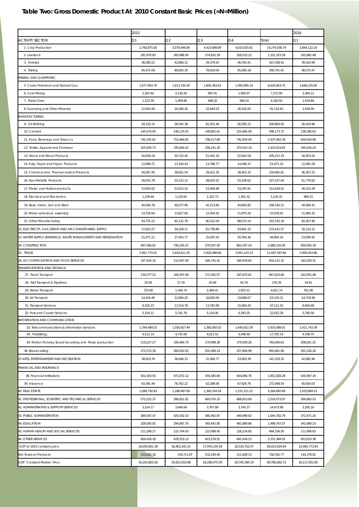|                                                             | 2015          |               |               |               |               | 2016          |
|-------------------------------------------------------------|---------------|---------------|---------------|---------------|---------------|---------------|
| <b>ACTIVITY SECTOR</b>                                      | Ο1            | O2            | $\Omega$      | Q4            | Total         | Q1            |
| 1. Crop Production                                          | 2,760,875.00  | 3,079,446.84  | 4,423,689.09  | 4,010,925.81  | 14,274,936.74 | 2,844,122.16  |
| 2. Livestock                                                | 281,970.83    | 265,986.95    | 274,832.39    | 328,533.22    | 1,151,323.39  | 292,862.48    |
| 3. Forestry                                                 | 38,280.21     | 42,806.15     | 39,379.63     | 46,792.41     | 167,258.41    | 39,164.90     |
| 4. Fishing                                                  | 95,472.09     | 89,605.30     | 78,618.04     | 95,006.18     | 358,701.61    | 98,575.47     |
| MINING AND QUARRYING                                        |               |               |               |               |               |               |
| 5. Crude Petroleum and Natural Gas                          | 1,677,854.70  | 1,613,750.30  | 1,845,393.61  | 1,492,965.14  | 6,629,963.75  | 1,646,220.90  |
| 6. Coal Mining                                              | 2,287.82      | 2,136.26      | 897.01        | 1,950.97      | 7,272.05      | 2.364.12      |
| 7. Metal Ores                                               | 1,222.59      | 1,409.89      | 948.20        | 580.24        | 4,160.92      | 1,919.84      |
| 8. Quarrying and Other Minerals                             | 22,043.40     | 20,180.26     | 22,644.53     | 26,242.65     | 91,110.83     | 2,454.04      |
| <b><i>ANUFACTURING</i></b>                                  |               |               |               |               |               |               |
| 9. Oil Refining                                             | 34,120.14     | 28,545.38     | 81,932.40     | 56,285.12     | 200,883.05    | 26,410.96     |
| 10. Cement                                                  | 144,574.00    | 146,133.01    | 149,801.61    | 155,665.09    | 596,173.72    | 138,280.63    |
| 11. Food, Beverage and Tobacco                              | 742,145.81    | 715,464.81    | 736,517.68    | 742,934.09    | 2,937,062.39  | 659,616.06    |
| 12. Textile, Apparel and Footwear                           | 355,959.73    | 335,804.42    | 358,241.30    | 373,014.19    | 1,423,019.65  | 345,416.24    |
| 13. Wood and Wood Products                                  | 50,628.19     | 50,722.45     | 51,441.10     | 52,420.59     | 205,212.33    | 50,453.54     |
| 14. Pulp, Paper and Paper Products                          | 12,689.71     | 13,144.43     | 13,788.77     | 14,048.31     | 53,671.22     | 12,492.59     |
| 15. Chemical and Pharmaceutical Products                    | 34,287.40     | 38,831.54     | 39,421.35     | 38,452.32     | 150,992.61    | 36,307.23     |
| 16. Non-Metallic Products                                   | 58,552.78     | 55,122.12     | 58,025.52     | 55,526.62     | 227,227.04    | 61,778.63     |
| 17. Plastic and Rubber products                             | 53,920.02     | 52,013.10     | 53,400.98     | 53,293.91     | 212,628.01    | 56,510.39     |
| 18. Electrical and Electronics                              | 1,230.64      | 1,219.62      | 1,322.73      | 1,361.32      | 5,134.31      | 969.10        |
| 19. Basic metal, Iron and Steel                             | 40,506.78     | 40,577.96     | 42,213.66     | 44,893.82     | 168,192.21    | 40,084.41     |
| 20. Motor vehicles & assembly                               | 14,726.64     | 13,627.60     | 12,454.42     | 11,870.26     | 52,678.91     | 11,900.31     |
| 21. Other Manufacturing                                     | 93,725.23     | 81,131.78     | 90,312.04     | 88,574.14     | 353,743.18    | 82,267.96     |
| 22. ELECTRICITY, GAS ,STEAM AND AIR CONDITIONING SUPPLY     | 57,823.27     | 59,228.11     | 61,738.86     | 93,641.33     | 272,431.57    | 32,114.12     |
| 23. WATER SUPPLY,SEWERAGE, WASTE MANAGEMENT AND REMEDIATION | 21,071.11     | 27,453.77     | 25,597.92     | 20,760.36     | 94,883.16     | 23,090.92     |
| 24. CONSTRUCTION                                            | 697,366.62    | 740,204.22    | 579,297.92    | 663,347.24    | 2,680,216.00  | 659,950.18    |
| 25. TRADE                                                   | 2,851,774.41  | 2,834,611.45  | 2,920,098.66  | 3,091,103.14  | 11,697,587.66 | 2,909,263.86  |
| 26. ACCOMMODATION AND FOOD SERVICES                         | 197,924.16    | 114,567.09    | 160,745.42    | 180,978.65    | 654,215.32    | 183,250.31    |
| <b>TRANSPORTATION AND STORAGE</b>                           |               |               |               |               |               |               |
| 27. Road Transport                                          | 139,377.23    | 168,397.48    | 172,365.07    | 187,670.81    | 667,810.60    | 162,955.48    |
| 28. Rail Transport & Pipelines                              | 20.58         | 57.35         | 35.69         | 62.76         | 176.39        | 19.91         |
| 29. Water Transport                                         | 733.48        | 1,340.74      | 1,494.41      | 1,053.11      | 4,621.74      | 761.08        |
| 30. Air Transport                                           | 14,416.40     | 12,984.20     | 16.650.94     | 19.068.67     | 63,120.21     | 14.729.99     |
| 31. Transport Services                                      | 6,520.23      | 11,514.78     | 13,792.08     | 15,284.43     | 47,111.52     | 6,665.68      |
| 32. Post and Courier Services                               | 5,334.11      | 5,781.76      | 5,116.06      | 6,383.35      | 22,615.28     | 5,780.58      |
| INFORMATION AND COMMUNICATION                               |               |               |               |               |               |               |
| 33. Telecommunications & Information Services               | 1,344,489.25  | 1,556,927.44  | 1,385,850.02  | 1,645,822.30  | 5,933,089.01  | 1,411,743.39  |
| 34. Publishing,                                             | 4,512.14      | 4,731.00      | 4,011.52      | 4,448.49      | 17,703.14     | 4,706.75      |
| 34. Motion Pictures, Sound recording and Music production   | 219,227.27    | 195,484.70    | 170,998.38    | 179,930.28    | 765,640.63    | 208,001.25    |
| 36. Broadcasting                                            | 272,573.38    | 260,010.55    | 201,490.14    | 257,606.99    | 991,681.06    | 291,256.28    |
| 37. ARTS, ENTERTAINMENT AND RECREATION                      | 38,819.76     | 36,648.33     | 31,940.77     | 33,920.39     | 141,329.25    | 42,082.96     |
| FINANCIAL AND INSURANCE                                     |               |               |               |               |               |               |
| 38. Financial Institutions                                  | 501,003.55    | 471,972.12    | 434.185.84    | 444.666.76    | 1,851,828.28  | 435.067.34    |
| 39. Insurance                                               | 63,391.49     | 78,762.22     | 62,288.06     | 67,626.76     | 272,068.54    | 65,654.03     |
| 40. REAL ESTATE                                             | 1,084,792.83  | 1,288,487.69  | 1,360,104.16  | 1,531,311.21  | 5,264,695.89  | 1,033,869.15  |
| 41. PROFESSIONAL, SCIENTIFIC AND TECHNICAL SERVICES         | 575,222.37    | 586,851.81    | 665,076.10    | 688,923.69    | 2,516,073.97  | 569,883.03    |
| 42. ADMINISTRATIVE & SUPPORT SERVICES                       | 3,314.17      | 3,646.64      | 3,767.89      | 3,745.27      | 14,473.98     | 3,285.16      |
| 43. PUBLIC ADMINISTRATION                                   | 389,597.47    | 420,192.52    | 385,492.87    | 449,499.92    | 1,644,782.79  | 372,471.20    |
| <b>44. EDUCATION</b>                                        | 328,505.92    | 294,867.70    | 393,442.80    | 481,890.66    | 1,498,707.07  | 341,069.10    |
| 45. HUMAN HEALTH AND SOCIAL SERVICES                        | 111,298.27    | 122,704.93    | 122,098.45    | 128,234.85    | 484,336.50    | 111,906.83    |
| <b>46. OTHER SERVICES</b>                                   | 604,418.18    | 478,253.13    | 423,278.51    | 645,434.23    | 2,151,384.05  | 653,023.38    |
| GDP at 2010 constant price                                  | 16,050,601.38 | 16,463,341.91 | 17,976,234.59 | 18,533,752.07 | 69,023,929.94 | 15,992,773.94 |
| Net Taxes on Products                                       | 153,202.18    | 159,711.97    | 232,240.49    | 211,608.13    | 756,762.77    | 144,278.92    |
| GDP Constant Market Price                                   | 16,203,803.56 | 16,623,053.88 | 18,208,475.09 | 18,745,360.19 | 69,780,692.72 | 16,137,052.85 |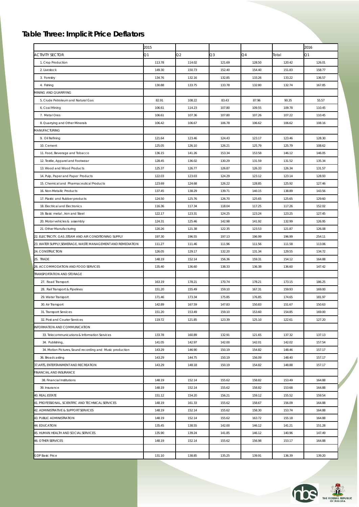### *Table Three: Implicit Price Deflators*

|                                                              | 2015   |          |        |            |        | 2016       |
|--------------------------------------------------------------|--------|----------|--------|------------|--------|------------|
| <b>ACTIVITY SECTOR</b>                                       | 21     | $\Omega$ | Q3     | $\Omega$ 4 | ſotal  | $\Omega$ 1 |
| 1. Crop Production                                           | 113.78 | 114.02   | 121.69 | 128.50     | 120.42 | 126.01     |
| 2. Livestock                                                 | 149.30 | 150.73   | 152.40 | 154.40     | 151.83 | 158.77     |
| 3. Forestry                                                  | 134.76 | 132.16   | 132.85 | 133.26     | 133.22 | 136.57     |
| 4. Fishing                                                   | 130.88 | 133.75   | 133.78 | 132.80     | 132.74 | 167.85     |
| MINING AND QUARRYING                                         |        |          |        |            |        |            |
| 5. Crude Petroleum and Natural Gas                           | 82.91  | 108.22   | 83.43  | 87.96      | 90.35  | 55.57      |
| 6. Coal Mining                                               | 106.61 | 114.23   | 107.80 | 109.55     | 109.78 | 110.45     |
| 7. Metal Ores                                                | 106.61 | 107.36   | 107.80 | 107.26     | 107.22 | 110.45     |
| 8. Quarrying and Other Minerals                              | 106.42 | 106.67   | 106.78 | 106.62     | 106.62 | 108.16     |
| MANUFACTURING                                                |        |          |        |            |        |            |
| 9. Oil Refining                                              | 121.64 | 123.46   | 124.43 | 123.17     | 123.46 | 128.30     |
| 10. Cement                                                   | 125.05 | 126.10   | 126.21 | 125.79     | 125.79 | 108.62     |
| 11. Food, Beverage and Tobacco                               | 136.15 | 141.26   | 153.34 | 153.58     | 146.12 | 146.05     |
| 12. Textile, Apparel and Footwear                            | 128.45 | 136.02   | 130.29 | 131.59     | 131.52 | 135.34     |
| 13. Wood and Wood Products                                   | 125.37 | 126.77   | 126.87 | 126.33     | 126.34 | 131.57     |
| 14. Pulp, Paper and Paper Products                           | 122.03 | 123.03   | 124.29 | 123.12     | 123.14 | 128.93     |
| 15. Chemical and Pharmaceutical Products                     | 123.69 | 124.68   | 126.22 | 128.85     | 125.92 | 127.46     |
| 16. Non-Metallic Products                                    | 137.45 | 138.29   | 139.71 | 140.15     | 138.89 | 143.56     |
| 17. Plastic and Rubber products                              | 124.50 | 125.76   | 126.70 | 125.65     | 125.65 | 129.60     |
| 18. Electrical and Electronics                               | 116.36 | 117.34   | 118.04 | 117.25     | 117.26 | 152.02     |
| 19. Basic metal, Iron and Steel                              | 122.17 | 123.31   | 124.25 | 123.24     | 123.25 | 127.45     |
| 20. Motor vehicles & assembly                                | 124.31 | 125.46   | 142.98 | 141.92     | 132.99 | 126.95     |
| 21. Other Manufacturing                                      | 120.26 | 121.38   | 122.35 | 123.53     | 121.87 | 126.08     |
| 22. ELECTRICITY, GAS , STEAM AND AIR CONDITIONING SUPPLY     | 197.30 | 196.55   | 197.13 | 196.99     | 196.99 | 254.11     |
| 23. WATER SUPPLY, SEWERAGE, WASTE MANAGEMENT AND REMEDIATION | 111.27 | 111.46   | 111.96 | 111.56     | 111.58 | 113.06     |
| 24. CONSTRUCTION                                             | 126.05 | 129.17   | 132.20 | 131.34     | 129.55 | 134.72     |
| 25. TRADE                                                    | 148.19 | 152.14   | 156.36 | 159.31     | 154.12 | 164.88     |
| 26. ACCOMMODATION AND FOOD SERVICES                          | 135.40 | 136.60   | 138.33 | 136.38     | 136.60 | 147.42     |
| TRANSPORTATION AND STORAGE                                   |        |          |        |            |        |            |
| 27. Road Transport                                           | 163.19 | 178.21   | 170.74 | 178.21     | 173.15 | 186.25     |
| 28. Rail Transport & Pipelines                               | 151.20 | 155.49   | 159.10 | 167.31     | 159.93 | 169.00     |
| 29. Water Transport                                          | 171.46 | 173.34   | 175.85 | 176.85     | 174.65 | 181.97     |
| 30. Air Transport                                            | 142.89 | 167.59   | 147.83 | 150.83     | 151.67 | 150.63     |
| 31. Transport Services                                       | 151.20 | 153.49   | 159.10 | 153.60     | 154.85 | 169.00     |
| 32. Post and Courier Services                                | 119.72 | 121.85   | 123.39 | 125.10     | 122.61 | 127.20     |
| INFORMATION AND COMMUNICATION                                |        |          |        |            |        |            |
| 33. Telecommunications & Information Services                | 133.78 | 160.89   | 132.91 | 121.65     | 137.32 | 137.13     |
| 34. Publishing,                                              | 141.05 | 142.97   | 142.00 | 142.01     | 142.02 | 157.54     |
| 34. Motion Pictures, Sound recording and Music production    | 143.29 | 146.90   | 150.19 | 154.82     | 148.46 | 157.17     |
| 36. Broadcasting                                             | 143.29 | 144.75   | 150.19 | 156.09     | 148.40 | 157.17     |
| 37. ARTS, ENTERTAINMENT AND RECREATION                       | 143.29 | 148.18   | 150.19 | 154.82     | 148.88 | 157.17     |
| FINANCIAL AND INSURANCE                                      |        |          |        |            |        |            |
| 38. Financial Institutions                                   | 148.19 | 152.14   | 155.62 | 158.82     | 153.49 | 164.88     |
| 39. Insurance                                                | 148.19 | 152.14   | 155.62 | 158.82     | 153.68 | 164.88     |
| 40. REAL ESTATE                                              | 151.12 | 154.20   | 156.21 | 159.12     | 155.52 | 159.54     |
| 41. PROFESSIONAL, SCIENTIFIC AND TECHNICAL SERVICES          | 148.19 | 161.33   | 155.62 | 158.67     | 156.09 | 164.88     |
| 42. ADMINISTRATIVE & SUPPORT SERVICES                        | 148.19 | 152.14   | 155.62 | 158.30     | 153.74 | 164.88     |
| 43. PUBLIC ADMINISTRATION                                    | 148.19 | 152.14   | 155.62 | 163.72     | 155.18 | 164.88     |
| 44. EDUCATION                                                | 135.45 | 138.55   | 142.00 | 146.12     | 141.21 | 151.28     |
| 45. HUMAN HEALTH AND SOCIAL SERVICES                         | 135.90 | 139.24   | 141.85 | 146.12     | 140.96 | 147.49     |
| <b>46. OTHER SERVICES</b>                                    | 148.19 | 152.14   | 155.62 | 156.98     | 153.17 | 164.88     |
|                                                              |        |          |        |            |        |            |
| <b>GDP Basic Price</b>                                       | 131.10 | 138.85   | 135.25 | 139.91     | 136.39 | 139.20     |
|                                                              |        |          |        |            |        |            |



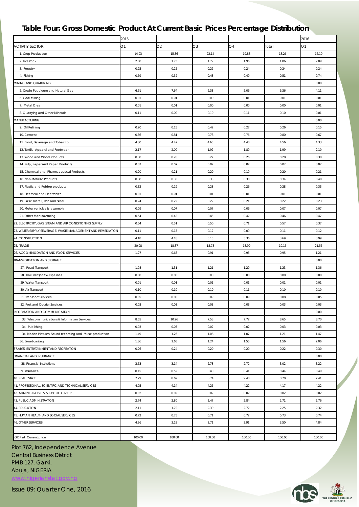#### *Table Four: Gross Domestic Product At Current Basic Prices Percentage Distribution*

|                                                              | 2015   |                |        |            |        | 2016   |
|--------------------------------------------------------------|--------|----------------|--------|------------|--------|--------|
| <b>ACTIVITY SECTOR</b>                                       | Ο1     | Q <sub>2</sub> | Q3     | $\Omega$ 4 | Total  | Q1     |
| 1. Crop Production                                           | 14.93  | 15.36          | 22.14  | 19.88      | 18.26  | 16.10  |
| 2. Livestock                                                 | 2.00   | 1.75           | 1.72   | 1.96       | 1.86   | 2.09   |
| 3. Forestry                                                  | 0.25   | 0.25           | 0.22   | 0.24       | 0.24   | 0.24   |
| 4. Fishing                                                   | 0.59   | 0.52           | 0.43   | 0.49       | 0.51   | 0.74   |
| MINING AND QUARRYING                                         |        |                |        |            |        | 0.00   |
| 5. Crude Petroleum and Natural Gas                           | 6.61   | 7.64           | 6.33   | 5.06       | 6.36   | 4.11   |
| 6. Coal Mining                                               | 0.01   | 0.01           | 0.00   | 0.01       | 0.01   | 0.01   |
| 7. Metal Ores                                                | 0.01   | 0.01           | 0.00   | 0.00       | 0.00   | 0.01   |
| 8. Quarrying and Other Minerals                              | 0.11   | 0.09           | 0.10   | 0.11       | 0.10   | 0.01   |
| MANUFACTURING                                                |        |                |        |            |        | 0.00   |
| 9. Oil Refining                                              | 0.20   | 0.15           | 0.42   | 0.27       | 0.26   | 0.15   |
| 10. Cement                                                   | 0.86   | 0.81           | 0.78   | 0.76       | 0.80   | 0.67   |
| 11. Food, Beverage and Tobacco                               | 4.80   | 4.42           | 4.65   | 4.40       | 4.56   | 4.33   |
| 12. Textile, Apparel and Footwear                            | 2.17   | 2.00           | 1.92   | 1.89       | 1.99   | 2.10   |
| 13. Wood and Wood Products                                   | 0.30   | 0.28           | 0.27   | 0.26       | 0.28   | 0.30   |
| 14. Pulp, Paper and Paper Products                           | 0.07   | 0.07           | 0.07   | 0.07       | 0.07   | 0.07   |
| 15. Chemical and Pharmaceutical Products                     | 0.20   | 0.21           | 0.20   | 0.19       | 0.20   | 0.21   |
| 16. Non-Metallic Products                                    | 0.38   | 0.33           | 0.33   | 0.30       | 0.34   | 0.40   |
| 17. Plastic and Rubber products                              | 0.32   | 0.29           | 0.28   | 0.26       | 0.28   | 0.33   |
| 18. Electrical and Electronics                               | 0.01   | 0.01           | 0.01   | 0.01       | 0.01   | 0.01   |
| 19. Basic metal, Iron and Steel                              | 0.24   | 0.22           | 0.22   | 0.21       | 0.22   | 0.23   |
| 20. Motor vehicles & assembly                                | 0.09   | 0.07           | 0.07   | 0.06       | 0.07   | 0.07   |
| 21. Other Manufacturing                                      | 0.54   | 0.43           | 0.45   | 0.42       | 0.46   | 0.47   |
| 22. ELECTRICITY, GAS , STEAM AND AIR CONDITIONING SUPPLY     | 0.54   | 0.51           | 0.50   | 0.71       | 0.57   | 0.37   |
| 23. WATER SUPPLY, SEWERAGE, WASTE MANAGEMENT AND REMEDIATION | 0.11   | 0.13           | 0.12   | 0.09       | 0.11   | 0.12   |
| 24. CONSTRUCTION                                             | 4.18   | 4.18           | 3.15   | 3.36       | 3.69   | 3.99   |
| 25. TRADE                                                    | 20.08  | 18.87          | 18.78  | 18.99      | 19.15  | 21.55  |
| 26. ACCOMMODATION AND FOOD SERVICES                          | 1.27   | 0.68           | 0.91   | 0.95       | 0.95   | 1.21   |
| TRANSPORTATION AND STORAGE                                   |        |                |        |            |        | 0.00   |
| 27. Road Transport                                           | 1.08   | 1.31           | 1.21   | 1.29       | 1.23   | 1.36   |
| 28. Rail Transport & Pipelines                               | 0.00   | 0.00           | 0.00   | 0.00       | 0.00   | 0.00   |
| 29. Water Transport                                          | 0.01   | 0.01           | 0.01   | 0.01       | 0.01   | 0.01   |
| 30. Air Transport                                            | 0.10   | 0.10           | 0.10   | 0.11       | 0.10   | 0.10   |
| 31. Transport Services                                       | 0.05   | 0.08           | 0.09   | 0.09       | 0.08   | 0.05   |
| 32. Post and Courier Services                                | 0.03   | 0.03           | 0.03   | 0.03       | 0.03   | 0.03   |
| INFORMATION AND COMMUNICATION                                |        |                |        |            |        | 0.00   |
| 33. Telecommunications & Information Services                | 8.55   | 10.96          | 7.58   | 7.72       | 8.65   | 8.70   |
| 34. Publishing,                                              | 0.03   | 0.03           | 0.02   | 0.02       | 0.03   | 0.03   |
| 34. Motion Pictures, Sound recording and Music production    | 1.49   | 1.26           | 1.06   | 1.07       | 1.21   | 1.47   |
| 36. Broadcasting                                             | 1.86   | 1.65           | 1.24   | 1.55       | 1.56   | 2.06   |
| 37. ARTS, ENTERTAINMENT AND RECREATION                       | 0.26   | 0.24           | 0.20   | 0.20       | 0.22   | 0.30   |
| FINANCIAL AND INSURANCE                                      |        |                |        |            |        | 0.00   |
| 38. Financial Institutions                                   | 3.53   | 3.14           | 2.78   | 2.72       | 3.02   | 3.22   |
| 39. Insurance                                                | 0.45   | 0.52           | 0.40   | 0.41       | 0.44   | 0.49   |
| 40. REAL ESTATE                                              | 7.79   | 8.69           | 8.74   | 9.40       | 8.70   | 7.41   |
| 41. PROFESSIONAL, SCIENTIFIC AND TECHNICAL SERVICES          | 4.05   | 4.14           | 4.26   | 4.22       | 4.17   | 4.22   |
| 42. ADMINISTRATIVE & SUPPORT SERVICES                        | 0.02   | 0.02           | 0.02   | 0.02       | 0.02   | 0.02   |
| 43. PUBLIC ADMINISTRATION                                    | 2.74   | 2.80           | 2.47   | 2.84       | 2.71   | 2.76   |
| 44. EDUCATION                                                | 2.11   | 1.79           | 2.30   | 2.72       | 2.25   | 2.32   |
| 45. HUMAN HEALTH AND SOCIAL SERVICES                         | 0.72   | 0.75           | 0.71   | 0.72       | 0.73   | 0.74   |
| <b>46. OTHER SERVICES</b>                                    | 4.26   | 3.18           | 2.71   | 3.91       | 3.50   | 4.84   |
|                                                              |        |                |        |            |        |        |
| GDP at Current price                                         | 100.00 | 100.00         | 100.00 | 100.00     | 100.00 | 100.00 |

Plot 762, Independence Avenue Central Business District PMB 127, Garki, Abuja, NIGERIA

[www.nigerianstat.gov.ng](http://nigerianstat.gov.ng/)

Issue 09: Quarter One, 2016

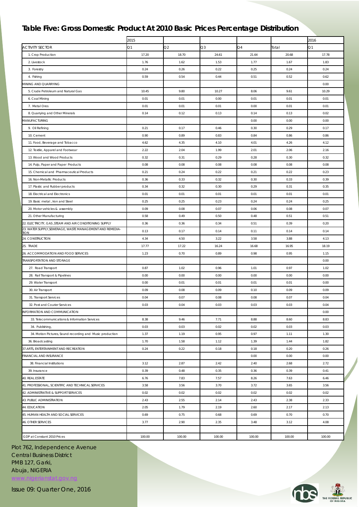#### *Table Five: Gross Domestic Product At 2010 Basic Prices Percentage Distribution*

|                                                                   | 2015           |        |        |        |        | 2016   |
|-------------------------------------------------------------------|----------------|--------|--------|--------|--------|--------|
| <b>ACTIVITY SECTOR</b>                                            | O <sub>1</sub> | Q2     | Q3     | Q4     | Total  | Q1     |
| 1. Crop Production                                                | 17.20          | 18.70  | 24.61  | 21.64  | 20.68  | 17.78  |
| 2. Livestock                                                      | 1.76           | 1.62   | 1.53   | 1.77   | 1.67   | 1.83   |
| 3. Forestry                                                       | 0.24           | 0.26   | 0.22   | 0.25   | 0.24   | 0.24   |
| 4. Fishing                                                        | 0.59           | 0.54   | 0.44   | 0.51   | 0.52   | 0.62   |
| MINING AND QUARRYING                                              |                |        |        |        |        | 0.00   |
| 5. Crude Petroleum and Natural Gas                                | 10.45          | 9.80   | 10.27  | 8.06   | 9.61   | 10.29  |
| 6. Coal Mining                                                    | 0.01           | 0.01   | 0.00   | 0.01   | 0.01   | 0.01   |
| 7. Metal Ores                                                     | 0.01           | 0.01   | 0.01   | 0.00   | 0.01   | 0.01   |
| 8. Quarrying and Other Minerals                                   | 0.14           | 0.12   | 0.13   | 0.14   | 0.13   | 0.02   |
| MANUFACTURING                                                     |                |        |        | 0.00   | 0.00   | 0.00   |
| 9. Oil Refining                                                   | 0.21           | 0.17   | 0.46   | 0.30   | 0.29   | 0.17   |
| 10. Cement                                                        | 0.90           | 0.89   | 0.83   | 0.84   | 0.86   | 0.86   |
| 11. Food, Beverage and Tobacco                                    | 4.62           | 4.35   | 4.10   | 4.01   | 4.26   | 4.12   |
| 12. Textile, Apparel and Footwear                                 | 2.22           | 2.04   | 1.99   | 2.01   | 2.06   | 2.16   |
| 13. Wood and Wood Products                                        | 0.32           | 0.31   | 0.29   | 0.28   | 0.30   | 0.32   |
| 14. Pulp, Paper and Paper Products                                | 0.08           | 0.08   | 0.08   | 0.08   | 0.08   | 0.08   |
| 15. Chemical and Pharmaceutical Products                          | 0.21           | 0.24   | 0.22   | 0.21   | 0.22   | 0.23   |
| 16. Non-Metallic Products                                         | 0.36           | 0.33   | 0.32   | 0.30   | 0.33   | 0.39   |
| 17. Plastic and Rubber products                                   | 0.34           | 0.32   | 0.30   | 0.29   | 0.31   | 0.35   |
| 18. Electrical and Electronics                                    | 0.01           | 0.01   | 0.01   | 0.01   | 0.01   | 0.01   |
| 19. Basic metal, Iron and Steel                                   | 0.25           | 0.25   | 0.23   | 0.24   | 0.24   | 0.25   |
| 20. Motor vehicles & assembly                                     | 0.09           | 0.08   | 0.07   | 0.06   | 0.08   | 0.07   |
| 21. Other Manufacturing                                           | 0.58           | 0.49   | 0.50   | 0.48   | 0.51   | 0.51   |
| 22. ELECTRICITY, GAS , STEAM AND AIR CONDITIONING SUPPLY          | 0.36           | 0.36   | 0.34   | 0.51   | 0.39   | 0.20   |
| 23. WATER SUPPLY, SEWERAGE, WASTE MANAGEMENT AND REMEDIA-<br>TION | 0.13           | 0.17   | 0.14   | 0.11   | 0.14   | 0.14   |
| 24. CONSTRUCTION                                                  | 4.34           | 4.50   | 3.22   | 3.58   | 3.88   | 4.13   |
| 25. TRADE                                                         | 17.77          | 17.22  | 16.24  | 16.68  | 16.95  | 18.19  |
| 26. ACCOMMODATION AND FOOD SERVICES                               | 1.23           | 0.70   | 0.89   | 0.98   | 0.95   | 1.15   |
| TRANSPORTATION AND STORAGE                                        |                |        |        |        |        | 0.00   |
| 27. Road Transport                                                | 0.87           | 1.02   | 0.96   | 1.01   | 0.97   | 1.02   |
| 28. Rail Transport & Pipelines                                    | 0.00           | 0.00   | 0.00   | 0.00   | 0.00   | 0.00   |
| 29. Water Transport                                               | 0.00           | 0.01   | 0.01   | 0.01   | 0.01   | 0.00   |
| 30. Air Transport                                                 | 0.09           | 0.08   | 0.09   | 0.10   | 0.09   | 0.09   |
| 31. Transport Services                                            | 0.04           | 0.07   | 0.08   | 0.08   | 0.07   | 0.04   |
| 32. Post and Courier Services                                     | 0.03           | 0.04   | 0.03   | 0.03   | 0.03   | 0.04   |
| INFORMATION AND COMMUNICATION                                     |                |        |        |        |        | 0.00   |
| 33. Telecommunications & Information Services                     | 8.38           | 9.46   | 7.71   | 8.88   | 8.60   | 8.83   |
| 34. Publishing,                                                   | 0.03           | 0.03   | 0.02   | 0.02   | 0.03   | 0.03   |
| 34. Motion Pictures, Sound recording and Music production         | 1.37           | 1.19   | 0.95   | 0.97   | 1.11   | 1.30   |
| 36. Broadcasting                                                  | 1.70           | 1.58   | 1.12   | 1.39   | 1.44   | 1.82   |
| 37. ARTS, ENTERTAINMENT AND RECREATION                            | 0.24           | 0.22   | 0.18   | 0.18   | 0.20   | 0.26   |
| FINANCIAL AND INSURANCE                                           |                |        |        | 0.00   | 0.00   | 0.00   |
| 38. Financial Institutions                                        | 3.12           | 2.87   | 2.42   | 2.40   | 2.68   | 2.72   |
| 39. Insurance                                                     | 0.39           | 0.48   | 0.35   | 0.36   | 0.39   | 0.41   |
| 40. REAL ESTATE                                                   | 6.76           | 7.83   | 7.57   | 8.26   | 7.63   | 6.46   |
| 41. PROFESSIONAL, SCIENTIFIC AND TECHNICAL SERVICES               | 3.58           | 3.56   | 3.70   | 3.72   | 3.65   | 3.56   |
| 42. ADMINISTRATIVE & SUPPORT SERVICES                             | 0.02           | 0.02   | 0.02   | 0.02   | 0.02   | 0.02   |
| 43. PUBLIC ADMINISTRATION                                         | 2.43           | 2.55   | 2.14   | 2.43   | 2.38   | 2.33   |
| 44. EDUCATION                                                     | 2.05           | 1.79   | 2.19   | 2.60   | 2.17   | 2.13   |
| 45. HUMAN HEALTH AND SOCIAL SERVICES                              | 0.69           | 0.75   | 0.68   | 0.69   | 0.70   | 0.70   |
| 46. OTHER SERVICES                                                | 3.77           | 2.90   | 2.35   | 3.48   | 3.12   | 4.08   |
|                                                                   |                |        |        |        |        |        |
| GDP at Constant 2010 Prices                                       | 100.00         | 100.00 | 100.00 | 100.00 | 100.00 | 100.00 |

Plot 762, Independence Avenue Central Business District PMB 127, Garki, Abuja, NIGERIA

[www.nigerianstat.gov.ng](http://nigerianstat.gov.ng/)

Issue 09: Quarter One, 2016